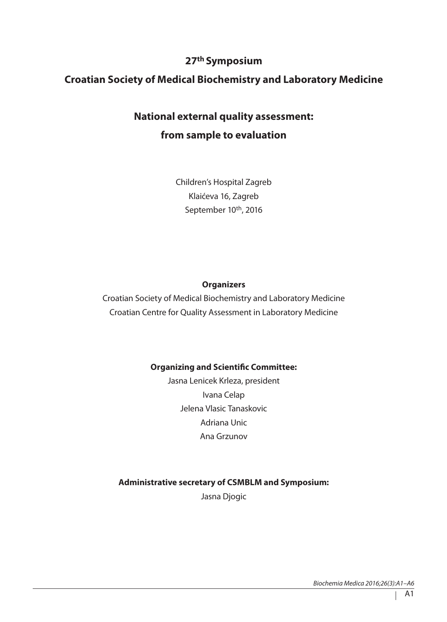# **27th Symposium**

## **Croatian Society of Medical Biochemistry and Laboratory Medicine**

# **National external quality assessment: from sample to evaluation**

Children's Hospital Zagreb Klaićeva 16, Zagreb September 10<sup>th</sup>, 2016

#### **Organizers**

Croatian Society of Medical Biochemistry and Laboratory Medicine Croatian Centre for Quality Assessment in Laboratory Medicine

#### **Organizing and Scientific Committee:**

Jasna Lenicek Krleza, president Ivana Celap Jelena Vlasic Tanaskovic Adriana Unic Ana Grzunov

#### **Administrative secretary of CSMBLM and Symposium:**

Jasna Djogic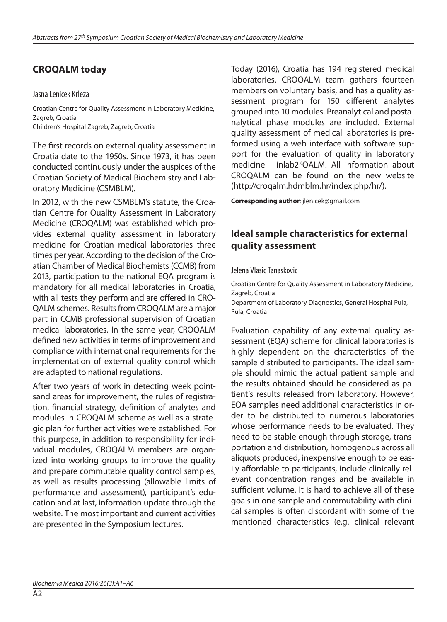## **CROQALM today**

#### Jasna Lenicek Krleza

Croatian Centre for Quality Assessment in Laboratory Medicine, Zagreb, Croatia Children's Hospital Zagreb, Zagreb, Croatia

The first records on external quality assessment in Croatia date to the 1950s. Since 1973, it has been conducted continuously under the auspices of the Croatian Society of Medical Biochemistry and Laboratory Medicine (CSMBLM).

In 2012, with the new CSMBLM's statute, the Croatian Centre for Quality Assessment in Laboratory Medicine (CROQALM) was established which provides external quality assessment in laboratory medicine for Croatian medical laboratories three times per year. According to the decision of the Croatian Chamber of Medical Biochemists (CCMB) from 2013, participation to the national EQA program is mandatory for all medical laboratories in Croatia, with all tests they perform and are offered in CRO-QALM schemes. Results from CROQALM are a major part in CCMB professional supervision of Croatian medical laboratories. In the same year, CROQALM defined new activities in terms of improvement and compliance with international requirements for the implementation of external quality control which are adapted to national regulations.

After two years of work in detecting week pointsand areas for improvement, the rules of registration, financial strategy, definition of analytes and modules in CROQALM scheme as well as a strategic plan for further activities were established. For this purpose, in addition to responsibility for individual modules, CROQALM members are organized into working groups to improve the quality and prepare commutable quality control samples, as well as results processing (allowable limits of performance and assessment), participant's education and at last, information update through the website. The most important and current activities are presented in the Symposium lectures.

Today (2016), Croatia has 194 registered medical laboratories. CROQALM team gathers fourteen members on voluntary basis, and has a quality assessment program for 150 different analytes grouped into 10 modules. Preanalytical and postanalytical phase modules are included. External quality assessment of medical laboratories is preformed using a web interface with software support for the evaluation of quality in laboratory medicine - inlab2\*QALM. All information about CROQALM can be found on the new website (http://croqalm.hdmblm.hr/index.php/hr/).

**Corresponding author**: jlenicek@gmail.com

#### **Ideal sample characteristics for external quality assessment**

Jelena Vlasic Tanaskovic

Croatian Centre for Quality Assessment in Laboratory Medicine, Zagreb, Croatia

Department of Laboratory Diagnostics, General Hospital Pula, Pula, Croatia

Evaluation capability of any external quality assessment (EQA) scheme for clinical laboratories is highly dependent on the characteristics of the sample distributed to participants. The ideal sample should mimic the actual patient sample and the results obtained should be considered as patient's results released from laboratory. However, EQA samples need additional characteristics in order to be distributed to numerous laboratories whose performance needs to be evaluated. They need to be stable enough through storage, transportation and distribution, homogenous across all aliquots produced, inexpensive enough to be easily affordable to participants, include clinically relevant concentration ranges and be available in sufficient volume. It is hard to achieve all of these goals in one sample and commutability with clinical samples is often discordant with some of the mentioned characteristics (e.g. clinical relevant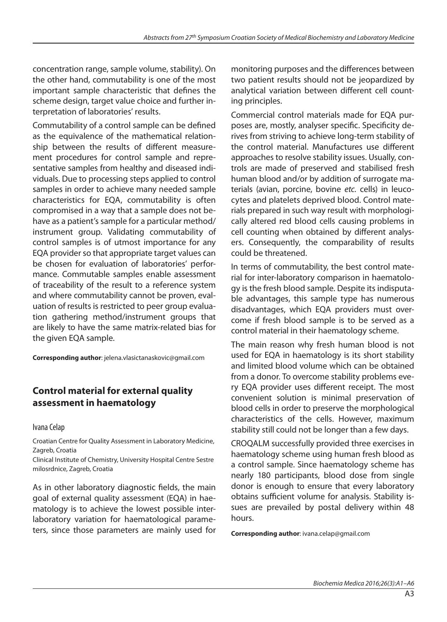concentration range, sample volume, stability). On the other hand, commutability is one of the most important sample characteristic that defines the scheme design, target value choice and further interpretation of laboratories' results.

Commutability of a control sample can be defined as the equivalence of the mathematical relationship between the results of different measurement procedures for control sample and representative samples from healthy and diseased individuals. Due to processing steps applied to control samples in order to achieve many needed sample characteristics for EQA, commutability is often compromised in a way that a sample does not behave as a patient's sample for a particular method/ instrument group. Validating commutability of control samples is of utmost importance for any EQA provider so that appropriate target values can be chosen for evaluation of laboratories' performance. Commutable samples enable assessment of traceability of the result to a reference system and where commutability cannot be proven, evaluation of results is restricted to peer group evaluation gathering method/instrument groups that are likely to have the same matrix-related bias for the given EQA sample.

**Corresponding author**: jelena.vlasictanaskovic@gmail.com

## **Control material for external quality assessment in haematology**

#### Ivana Celap

Croatian Centre for Quality Assessment in Laboratory Medicine, Zagreb, Croatia

Clinical Institute of Chemistry, University Hospital Centre Sestre milosrdnice, Zagreb, Croatia

As in other laboratory diagnostic fields, the main goal of external quality assessment (EQA) in haematology is to achieve the lowest possible interlaboratory variation for haematological parameters, since those parameters are mainly used for monitoring purposes and the differences between two patient results should not be jeopardized by analytical variation between different cell counting principles.

Commercial control materials made for EQA purposes are, mostly, analyser specific. Specificity derives from striving to achieve long-term stability of the control material. Manufactures use different approaches to resolve stability issues. Usually, controls are made of preserved and stabilised fresh human blood and/or by addition of surrogate materials (avian, porcine, bovine *etc.* cells) in leucocytes and platelets deprived blood. Control materials prepared in such way result with morphologically altered red blood cells causing problems in cell counting when obtained by different analysers. Consequently, the comparability of results could be threatened.

In terms of commutability, the best control material for inter-laboratory comparison in haematology is the fresh blood sample. Despite its indisputable advantages, this sample type has numerous disadvantages, which EQA providers must overcome if fresh blood sample is to be served as a control material in their haematology scheme.

The main reason why fresh human blood is not used for EQA in haematology is its short stability and limited blood volume which can be obtained from a donor. To overcome stability problems every EQA provider uses different receipt. The most convenient solution is minimal preservation of blood cells in order to preserve the morphological characteristics of the cells. However, maximum stability still could not be longer than a few days.

CROQALM successfully provided three exercises in haematology scheme using human fresh blood as a control sample. Since haematology scheme has nearly 180 participants, blood dose from single donor is enough to ensure that every laboratory obtains sufficient volume for analysis. Stability issues are prevailed by postal delivery within 48 hours.

**Corresponding author**: ivana.celap@gmail.com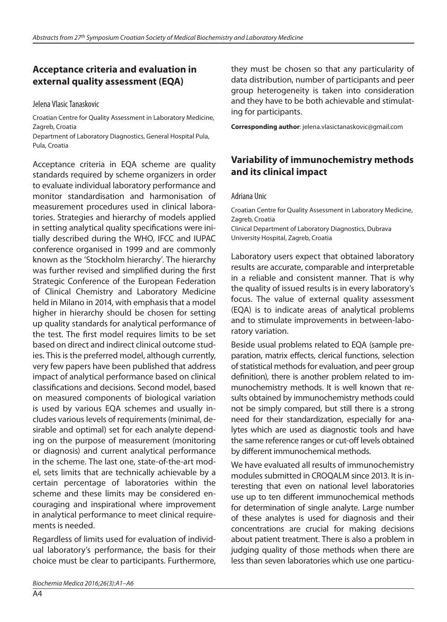#### **Acceptance criteria and evaluation in external quality assessment (EQA)**

Jelena Vlasic Tanaskovic

Croatian Centre for Quality Assessment in Laboratory Medicine, Zagreb, Croatia

Department of Laboratory Diagnostics, General Hospital Pula, Pula, Croatia

Acceptance criteria in EQA scheme are quality standards required by scheme organizers in order to evaluate individual laboratory performance and monitor standardisation and harmonisation of measurement procedures used in clinical laboratories. Strategies and hierarchy of models applied in setting analytical quality specifications were initially described during the WHO, IFCC and IUPAC conference organised in 1999 and are commonly known as the 'Stockholm hierarchy'. The hierarchy was further revised and simplified during the first Strategic Conference of the European Federation of Clinical Chemistry and Laboratory Medicine held in Milano in 2014, with emphasis that a model higher in hierarchy should be chosen for setting up quality standards for analytical performance of the test. The first model requires limits to be set based on direct and indirect clinical outcome studies. This is the preferred model, although currently, very few papers have been published that address impact of analytical performance based on clinical classifications and decisions. Second model, based on measured components of biological variation is used by various EQA schemes and usually includes various levels of requirements (minimal, desirable and optimal) set for each analyte depending on the purpose of measurement (monitoring or diagnosis) and current analytical performance in the scheme. The last one, state-of-the-art model, sets limits that are technically achievable by a certain percentage of laboratories within the scheme and these limits may be considered encouraging and inspirational where improvement in analytical performance to meet clinical requirements is needed.

Regardless of limits used for evaluation of individual laboratory's performance, the basis for their choice must be clear to participants. Furthermore, they must be chosen so that any particularity of data distribution, number of participants and peer group heterogeneity is taken into consideration and they have to be both achievable and stimulating for participants.

**Corresponding author**: jelena.vlasictanaskovic@gmail.com

## **Variability of immunochemistry methods and its clinical impact**

Adriana Unic

Croatian Centre for Quality Assessment in Laboratory Medicine, Zagreb, Croatia Clinical Department of Laboratory Diagnostics, Dubrava University Hospital, Zagreb, Croatia

Laboratory users expect that obtained laboratory results are accurate, comparable and interpretable in a reliable and consistent manner. That is why the quality of issued results is in every laboratory's focus. The value of external quality assessment (EQA) is to indicate areas of analytical problems and to stimulate improvements in between-laboratory variation.

Beside usual problems related to EQA (sample preparation, matrix effects, clerical functions, selection of statistical methods for evaluation, and peer group definition), there is another problem related to immunochemistry methods. It is well known that results obtained by immunochemistry methods could not be simply compared, but still there is a strong need for their standardization, especially for analytes which are used as diagnostic tools and have the same reference ranges or cut-off levels obtained by different immunochemical methods.

We have evaluated all results of immunochemistry modules submitted in CROQALM since 2013. It is interesting that even on national level laboratories use up to ten different immunochemical methods for determination of single analyte. Large number of these analytes is used for diagnosis and their concentrations are crucial for making decisions about patient treatment. There is also a problem in judging quality of those methods when there are less than seven laboratories which use one particu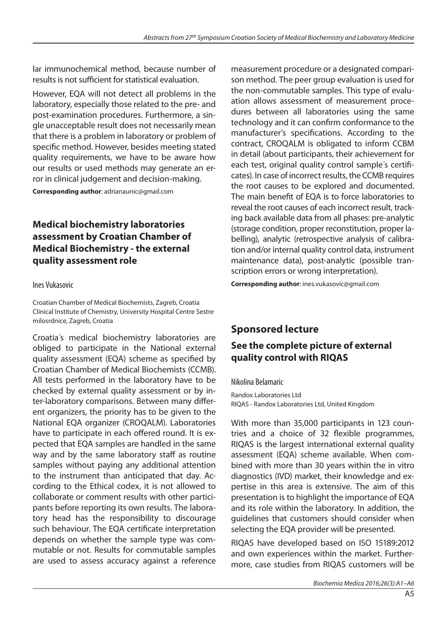lar immunochemical method, because number of results is not sufficient for statistical evaluation.

However, EQA will not detect all problems in the laboratory, especially those related to the pre- and post-examination procedures. Furthermore, a single unacceptable result does not necessarily mean that there is a problem in laboratory or problem of specific method. However, besides meeting stated quality requirements, we have to be aware how our results or used methods may generate an error in clinical judgement and decision-making.

**Corresponding author**: adrianaunic@gmail.com

### **Medical biochemistry laboratories assessment by Croatian Chamber of Medical Biochemistry - the external quality assessment role**

#### Ines Vukasovic

Croatian Chamber of Medical Biochemists, Zagreb, Croatia Clinical Institute of Chemistry, University Hospital Centre Sestre milosrdnice, Zagreb, Croatia

Croatia´s medical biochemistry laboratories are obliged to participate in the National external quality assessment (EQA) scheme as specified by Croatian Chamber of Medical Biochemists (CCMB). All tests performed in the laboratory have to be checked by external quality assessment or by inter-laboratory comparisons. Between many different organizers, the priority has to be given to the National EQA organizer (CROQALM). Laboratories have to participate in each offered round. It is expected that EQA samples are handled in the same way and by the same laboratory staff as routine samples without paying any additional attention to the instrument than anticipated that day. According to the Ethical codex, it is not allowed to collaborate or comment results with other participants before reporting its own results. The laboratory head has the responsibility to discourage such behaviour. The EQA certificate interpretation depends on whether the sample type was commutable or not. Results for commutable samples are used to assess accuracy against a reference

measurement procedure or a designated comparison method. The peer group evaluation is used for the non-commutable samples. This type of evaluation allows assessment of measurement procedures between all laboratories using the same technology and it can confirm conformance to the manufacturer's specifications. According to the contract, CROQALM is obligated to inform CCBM in detail (about participants, their achievement for each test, original quality control sample´s certificates). In case of incorrect results, the CCMB requires the root causes to be explored and documented. The main benefit of EQA is to force laboratories to reveal the root causes of each incorrect result, tracking back available data from all phases: pre-analytic (storage condition, proper reconstitution, proper labelling), analytic (retrospective analysis of calibration and/or internal quality control data, instrument maintenance data), post-analytic (possible transcription errors or wrong interpretation).

**Corresponding author**: ines.vukasovic@gmail.com

# **Sponsored lecture**

### **See the complete picture of external quality control with RIQAS**

#### Nikolina Belamaric

Randox Laboratories Ltd RIQAS - Randox Laboratories Ltd, United Kingdom

With more than 35,000 participants in 123 countries and a choice of 32 flexible programmes, RIQAS is the largest international external quality assessment (EQA) scheme available. When combined with more than 30 years within the in vitro diagnostics (IVD) market, their knowledge and expertise in this area is extensive. The aim of this presentation is to highlight the importance of EQA and its role within the laboratory. In addition, the guidelines that customers should consider when selecting the EQA provider will be presented.

RIQAS have developed based on ISO 15189:2012 and own experiences within the market. Furthermore, case studies from RIQAS customers will be